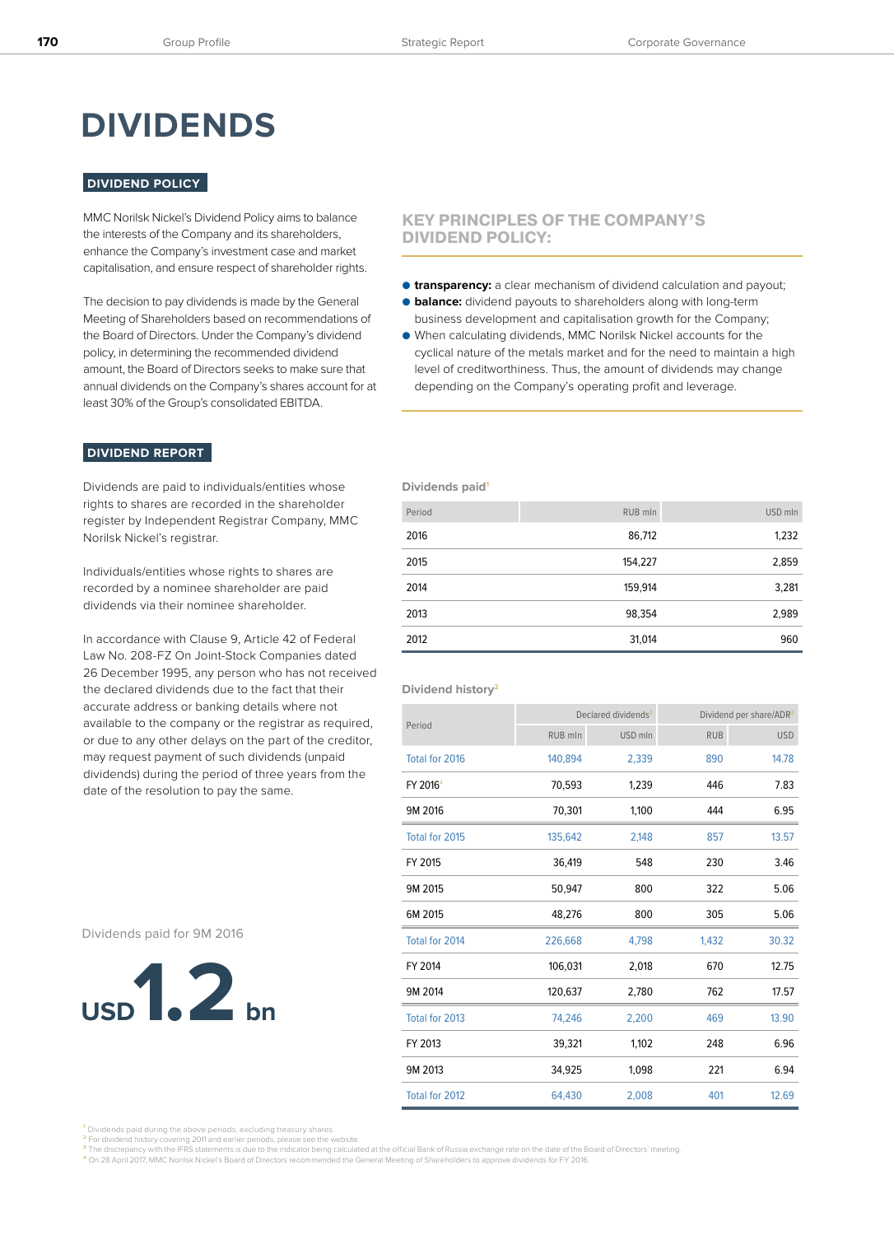# **DIVIDENDS**

# **DIVIDEND POLICY**

MMC Norilsk Nickel's Dividend Policy aims to balance the interests of the Company and its shareholders, enhance the Company's investment case and market capitalisation, and ensure respect of shareholder rights.

The decision to pay dividends is made by the General Meeting of Shareholders based on recommendations of the Board of Directors. Under the Company's dividend policy, in determining the recommended dividend amount, the Board of Directors seeks to make sure that annual dividends on the Company's shares account for at least 30% of the Group's consolidated EBITDA.

# **KEY PRINCIPLES OF THE COMPANY'S DIVIDEND POLICY:**

- **transparency:** a clear mechanism of dividend calculation and payout; ● **balance:** dividend payouts to shareholders along with long-term
- business development and capitalisation growth for the Company; ● When calculating dividends, MMC Norilsk Nickel accounts for the cyclical nature of the metals market and for the need to maintain a high level of creditworthiness. Thus, the amount of dividends may change

depending on the Company's operating profit and leverage.

### **DIVIDEND REPORT**

Dividends are paid to individuals/entities whose rights to shares are recorded in the shareholder register by Independent Registrar Company, MMC Norilsk Nickel's registrar.

Individuals/entities whose rights to shares are recorded by a nominee shareholder are paid dividends via their nominee shareholder.

In accordance with Clause 9, Article 42 of Federal Law No. 208-FZ On Joint-Stock Companies dated 26 December 1995, any person who has not received the declared dividends due to the fact that their accurate address or banking details where not available to the company or the registrar as required, or due to any other delays on the part of the creditor, may request payment of such dividends (unpaid dividends) during the period of three years from the date of the resolution to pay the same.

Dividends paid for 9M 2016



# **Dividends paid**<sup>1</sup>

| Period | RUB mln | USD mln |
|--------|---------|---------|
| 2016   | 86,712  | 1,232   |
| 2015   | 154,227 | 2,859   |
| 2014   | 159,914 | 3,281   |
| 2013   | 98,354  | 2,989   |
| 2012   | 31,014  | 960     |

#### **Dividend history2**

|                      | Declared dividends <sup>3</sup> |         | Dividend per share/ADR <sup>3</sup> |            |
|----------------------|---------------------------------|---------|-------------------------------------|------------|
| Period               | RUB mln                         | USD mln | <b>RUB</b>                          | <b>USD</b> |
| Total for 2016       | 140,894                         | 2,339   | 890                                 | 14.78      |
| FY 2016 <sup>4</sup> | 70,593                          | 1,239   | 446                                 | 7.83       |
| 9M 2016              | 70,301                          | 1,100   | 444                                 | 6.95       |
| Total for 2015       | 135,642                         | 2,148   | 857                                 | 13.57      |
| FY 2015              | 36,419                          | 548     | 230                                 | 3.46       |
| 9M 2015              | 50,947                          | 800     | 322                                 | 5.06       |
| 6M 2015              | 48,276                          | 800     | 305                                 | 5.06       |
| Total for 2014       | 226,668                         | 4,798   | 1,432                               | 30.32      |
| FY 2014              | 106,031                         | 2,018   | 670                                 | 12.75      |
| 9M 2014              | 120,637                         | 2,780   | 762                                 | 17.57      |
| Total for 2013       | 74,246                          | 2,200   | 469                                 | 13.90      |
| FY 2013              | 39,321                          | 1,102   | 248                                 | 6.96       |
| 9M 2013              | 34,925                          | 1,098   | 221                                 | 6.94       |
| Total for 2012       | 64,430                          | 2,008   | 401                                 | 12.69      |

**<sup>1</sup>**Dividends paid during the above periods, excluding treasury shares.

<mark>2</mark> For dividend history covering 2011 and earlier periods, please see the website.<br><sup>3</sup> The discrepancy with the IFRS statements is due to the indicator being calculated at the official Bank of Russia exchange rate on the

**<sup>4</sup>**On 28 April 2017, MMC Norilsk Nickel's Board of Directors recommended the General Meeting of Shareholders to approve dividends for FY 2016.